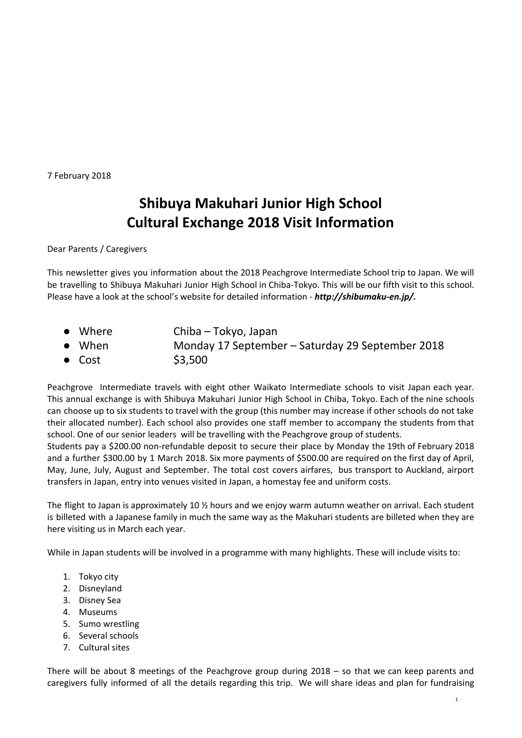7 February 2018

## **Shibuya Makuhari Junior High School Cultural Exchange 2018 Visit Information**

Dear Parents / Caregivers

This newsletter gives you information about the 2018 Peachgrove Intermediate School trip to Japan. We will be travelling to Shibuya Makuhari Junior High School in Chiba-Tokyo. This will be our fifth visit to this school. Please have a look at the school's website for detailed information - *http://shibumaku-en.jp/.*

- Where Chiba Tokyo, Japan ● When Monday 17 September – Saturday 29 September 2018
- $\bullet$  Cost \$3,500

Peachgrove Intermediate travels with eight other Waikato Intermediate schools to visit Japan each year. This annual exchange is with Shibuya Makuhari Junior High School in Chiba, Tokyo. Each of the nine schools can choose up to six students to travel with the group (this number may increase if other schools do not take their allocated number). Each school also provides one staff member to accompany the students from that school. One of our senior leaders will be travelling with the Peachgrove group of students.

Students pay a \$200.00 non-refundable deposit to secure their place by Monday the 19th of February 2018 and a further \$300.00 by 1 March 2018. Six more payments of \$500.00 are required on the first day of April, May, June, July, August and September. The total cost covers airfares, bus transport to Auckland, airport transfers in Japan, entry into venues visited in Japan, a homestay fee and uniform costs.

The flight to Japan is approximately 10 ½ hours and we enjoy warm autumn weather on arrival. Each student is billeted with a Japanese family in much the same way as the Makuhari students are billeted when they are here visiting us in March each year.

While in Japan students will be involved in a programme with many highlights. These will include visits to:

- 1. Tokyo city
- 2. Disneyland
- 3. Disney Sea
- 4. Museums
- 5. Sumo wrestling
- 6. Several schools
- 7. Cultural sites

There will be about 8 meetings of the Peachgrove group during 2018 – so that we can keep parents and caregivers fully informed of all the details regarding this trip. We will share ideas and plan for fundraising